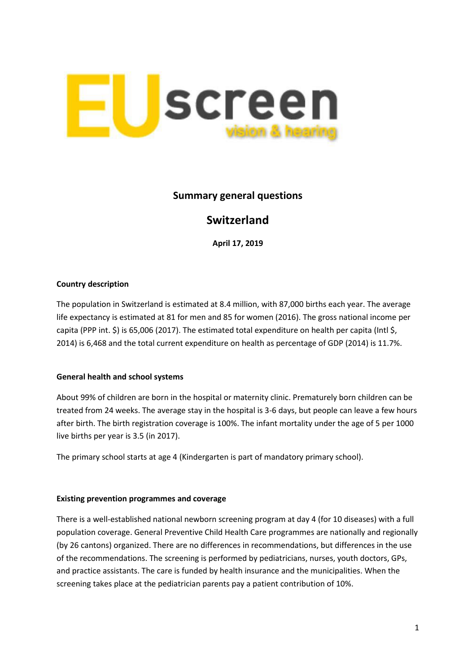

# **Summary general questions**

# **Switzerland**

**April 17, 2019**

## **Country description**

The population in Switzerland is estimated at 8.4 million, with 87,000 births each year. The average life expectancy is estimated at 81 for men and 85 for women (2016). The gross national income per capita (PPP int. \$) is 65,006 (2017). The estimated total expenditure on health per capita (Intl \$, 2014) is 6,468 and the total current expenditure on health as percentage of GDP (2014) is 11.7%.

#### **General health and school systems**

About 99% of children are born in the hospital or maternity clinic. Prematurely born children can be treated from 24 weeks. The average stay in the hospital is 3-6 days, but people can leave a few hours after birth. The birth registration coverage is 100%. The infant mortality under the age of 5 per 1000 live births per year is 3.5 (in 2017).

The primary school starts at age 4 (Kindergarten is part of mandatory primary school).

#### **Existing prevention programmes and coverage**

There is a well-established national newborn screening program at day 4 (for 10 diseases) with a full population coverage. General Preventive Child Health Care programmes are nationally and regionally (by 26 cantons) organized. There are no differences in recommendations, but differences in the use of the recommendations. The screening is performed by pediatricians, nurses, youth doctors, GPs, and practice assistants. The care is funded by health insurance and the municipalities. When the screening takes place at the pediatrician parents pay a patient contribution of 10%.